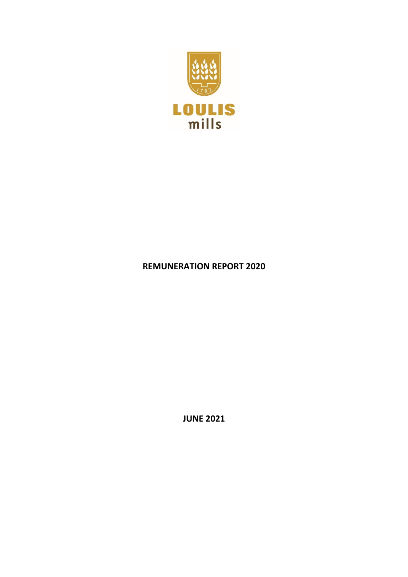

## **REMUNERATION REPORT 2020**

**JUNE 2021**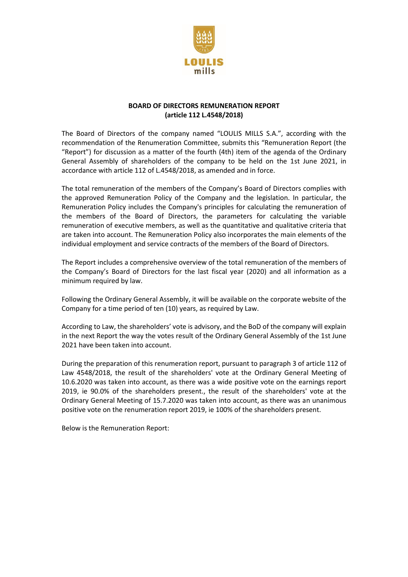

## **BOARD OF DIRECTORS REMUNERATION REPORT (article 112 L.4548/2018)**

The Board of Directors of the company named "LOULIS MILLS S.A.", according with the recommendation of the Renumeration Committee, submits this "Remuneration Report (the "Report") for discussion as a matter of the fourth (4th) item of the agenda of the Ordinary General Assembly of shareholders of the company to be held on the 1st June 2021, in accordance with article 112 of L.4548/2018, as amended and in force.

The total remuneration of the members of the Company's Board of Directors complies with the approved Remuneration Policy of the Company and the legislation. In particular, the Remuneration Policy includes the Company's principles for calculating the remuneration of the members of the Board of Directors, the parameters for calculating the variable remuneration of executive members, as well as the quantitative and qualitative criteria that are taken into account. The Remuneration Policy also incorporates the main elements of the individual employment and service contracts of the members of the Board of Directors.

The Report includes a comprehensive overview of the total remuneration of the members of the Company's Board of Directors for the last fiscal year (2020) and all information as a minimum required by law.

Following the Ordinary General Assembly, it will be available on the corporate website of the Company for a time period of ten (10) years, as required by Law.

According to Law, the shareholders' vote is advisory, and the BoD of the company will explain in the next Report the way the votes result of the Ordinary General Assembly of the 1st June 2021 have been taken into account.

During the preparation of this renumeration report, pursuant to paragraph 3 of article 112 of Law 4548/2018, the result of the shareholders' vote at the Ordinary General Meeting of 10.6.2020 was taken into account, as there was a wide positive vote on the earnings report 2019, ie 90.0% of the shareholders present., the result of the shareholders' vote at the Ordinary General Meeting of 15.7.2020 was taken into account, as there was an unanimous positive vote on the renumeration report 2019, ie 100% of the shareholders present.

Below is the Remuneration Report: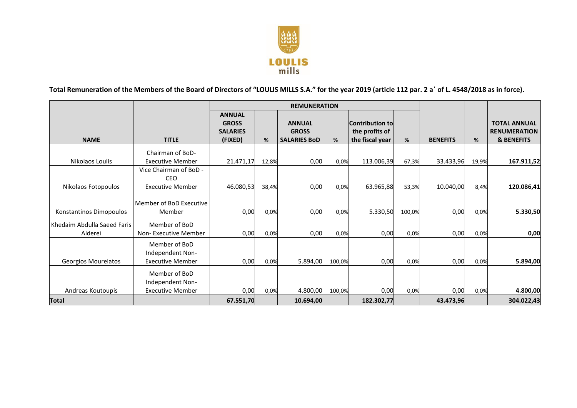

**Total Remuneration of the Members of the Board of Directors of "LOULIS MILLS S.A." for the year 2019 (article 112 par. 2 a΄ of L. 4548/2018 as in force).**

|                                        |                                                              | <b>REMUNERATION</b>                                         |       |                                                      |        |                                                             |        |                 |       |                                                                     |
|----------------------------------------|--------------------------------------------------------------|-------------------------------------------------------------|-------|------------------------------------------------------|--------|-------------------------------------------------------------|--------|-----------------|-------|---------------------------------------------------------------------|
| <b>NAME</b>                            | <b>TITLE</b>                                                 | <b>ANNUAL</b><br><b>GROSS</b><br><b>SALARIES</b><br>(FIXED) | %     | <b>ANNUAL</b><br><b>GROSS</b><br><b>SALARIES BOD</b> | %      | <b>Contribution to</b><br>the profits of<br>the fiscal year | %      | <b>BENEFITS</b> | %     | <b>TOTAL ANNUAL</b><br><b>RENUMERATION</b><br><b>&amp; BENEFITS</b> |
| Nikolaos Loulis                        | Chairman of BoD-<br><b>Executive Member</b>                  | 21.471,17                                                   | 12,8% | 0,00                                                 | 0,0%   | 113.006,39                                                  | 67,3%  | 33.433,96       | 19,9% | 167.911,52                                                          |
| Nikolaos Fotopoulos                    | Vice Chairman of BoD -<br>CEO<br><b>Executive Member</b>     | 46.080,53                                                   | 38,4% | 0,00                                                 | 0,0%   | 63.965,88                                                   | 53,3%  | 10.040,00       | 8,4%  | 120.086,41                                                          |
| Konstantinos Dimopoulos                | Member of BoD Executive<br>Member                            | 0,00                                                        | 0,0%  | 0,00                                                 | 0,0%   | 5.330,50                                                    | 100,0% | 0,00            | 0,0%  | 5.330,50                                                            |
| Khedaim Abdulla Saeed Faris<br>Alderei | Member of BoD<br>Non-Executive Member                        | 0,00                                                        | 0,0%  | 0,00                                                 | 0,0%   | 0,00                                                        | 0,0%   | 0,00            | 0,0%  | 0,00                                                                |
| Georgios Mourelatos                    | Member of BoD<br>Independent Non-<br><b>Executive Member</b> | 0,00                                                        | 0,0%  | 5.894,00                                             | 100,0% | 0,00                                                        | 0,0%   | 0,00            | 0,0%  | 5.894,00                                                            |
| Andreas Koutoupis                      | Member of BoD<br>Independent Non-<br><b>Executive Member</b> | 0,00                                                        | 0,0%  | 4.800,00                                             | 100,0% | 0,00                                                        | 0,0%   | 0,00            | 0,0%  | 4.800,00                                                            |
| Total                                  |                                                              | 67.551,70                                                   |       | 10.694,00                                            |        | 182.302,77                                                  |        | 43.473,96       |       | 304.022,43                                                          |